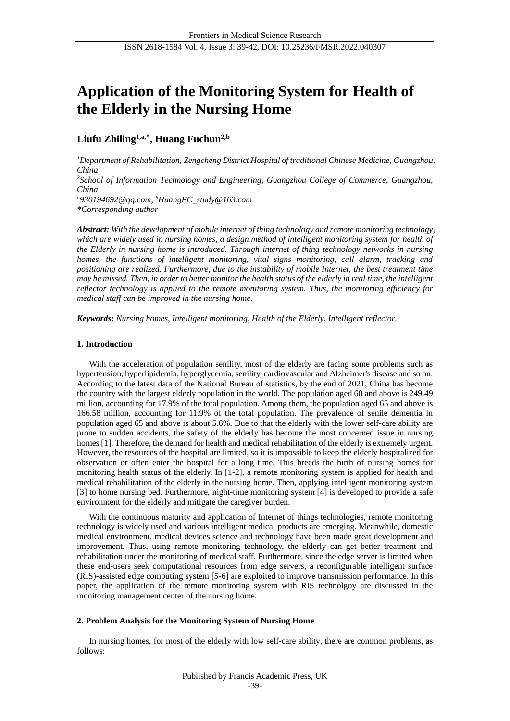# **Application of the Monitoring System for Health of the Elderly in the Nursing Home**

# **Liufu Zhiling1,a,\* , Huang Fuchun2,b**

*<sup>1</sup>Department of Rehabilitation, Zengcheng District Hospital of traditional Chinese Medicine, Guangzhou, China <sup>2</sup>School of Information Technology and Engineering, Guangzhou College of Commerce, Guangzhou, China <sup>a</sup>930194692@qq.com, <sup>b</sup>HuangFC\_study@163.com \*Corresponding author*

*Abstract: With the development of mobile internet of thing technology and remote monitoring technology, which are widely used in nursing homes, a design method of intelligent monitoring system for health of the Elderly in nursing home is introduced. Through internet of thing technology networks in nursing homes, the functions of intelligent monitoring, vital signs monitoring, call alarm, tracking and positioning are realized. Furthermore, due to the instability of mobile Internet, the best treatment time may be missed. Then, in order to better monitor the health status of the elderly in real time, the intelligent reflector technology is applied to the remote monitoring system. Thus, the monitoring efficiency for medical staff can be improved in the nursing home.*

*Keywords: Nursing homes, Intelligent monitoring, Health of the Elderly, Intelligent reflector.*

#### **1. Introduction**

With the acceleration of population senility, most of the elderly are facing some problems such as hypertension, hyperlipidemia, hyperglycemia, senility, cardiovascular and Alzheimer's disease and so on. According to the latest data of the National Bureau of statistics, by the end of 2021, China has become the country with the largest elderly population in the world. The population aged 60 and above is 249.49 million, accounting for 17.9% of the total population. Among them, the population aged 65 and above is 166.58 million, accounting for 11.9% of the total population. The prevalence of senile dementia in population aged 65 and above is about 5.6%. Due to that the elderly with the lower self-care ability are prone to sudden accidents, the safety of the elderly has become the most concerned issue in nursing homes [1]. Therefore, the demand for health and medical rehabilitation of the elderly is extremely urgent. However, the resources of the hospital are limited, so it is impossible to keep the elderly hospitalized for observation or often enter the hospital for a long time. This breeds the birth of nursing homes for monitoring health status of the elderly. In [1-2], a remote monitoring system is applied for health and medical rehabilitation of the elderly in the nursing home. Then, applying intelligent monitoring system [3] to home nursing bed. Furthermore, night-time monitoring system [4] is developed to provide a safe environment for the elderly and mitigate the caregiver burden.

With the continuous maturity and application of Internet of things technologies, remote monitoring technology is widely used and various intelligent medical products are emerging. Meanwhile, domestic medical environment, medical devices science and technology have been made great development and improvement. Thus, using remote monitoring technology, the elderly can get better treatment and rehabilitation under the monitoring of medical staff. Furthermore, since the edge server is limited when these end-users seek computational resources from edge servers, a reconfigurable intelligent surface (RIS)-assisted edge computing system [5-6] are exploited to improve transmission performance. In this paper, the application of the remote monitoring system with RIS technolgoy are discussed in the monitoring management center of the nursing home.

#### **2. Problem Analysis for the Monitoring System of Nursing Home**

In nursing homes, for most of the elderly with low self-care ability, there are common problems, as follows: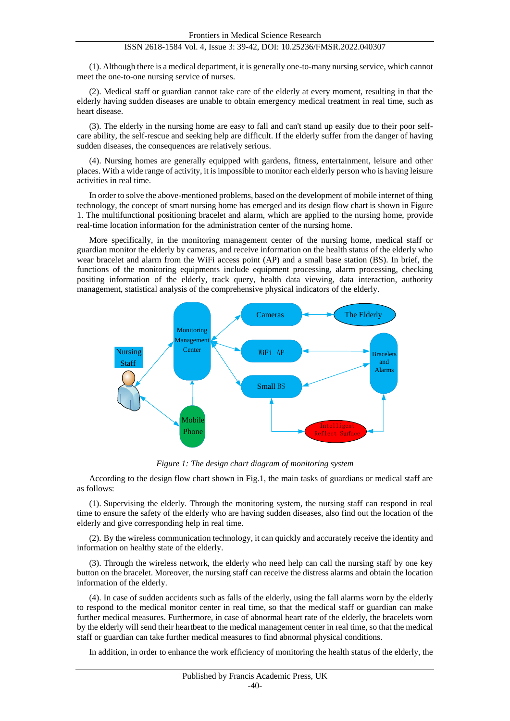# ISSN 2618-1584 Vol. 4, Issue 3: 39-42, DOI: 10.25236/FMSR.2022.040307

(1). Although there is a medical department, it is generally one-to-many nursing service, which cannot meet the one-to-one nursing service of nurses.

(2). Medical staff or guardian cannot take care of the elderly at every moment, resulting in that the elderly having sudden diseases are unable to obtain emergency medical treatment in real time, such as heart disease.

(3). The elderly in the nursing home are easy to fall and can't stand up easily due to their poor selfcare ability, the self-rescue and seeking help are difficult. If the elderly suffer from the danger of having sudden diseases, the consequences are relatively serious.

(4). Nursing homes are generally equipped with gardens, fitness, entertainment, leisure and other places. With a wide range of activity, it is impossible to monitor each elderly person who is having leisure activities in real time.

In order to solve the above-mentioned problems, based on the development of mobile internet of thing technology, the concept of smart nursing home has emerged and its design flow chart is shown in Figure 1. The multifunctional positioning bracelet and alarm, which are applied to the nursing home, provide real-time location information for the administration center of the nursing home.

More specifically, in the monitoring management center of the nursing home, medical staff or guardian monitor the elderly by cameras, and receive information on the health status of the elderly who wear bracelet and alarm from the WiFi access point (AP) and a small base station (BS). In brief, the functions of the monitoring equipments include equipment processing, alarm processing, checking positing information of the elderly, track query, health data viewing, data interaction, authority management, statistical analysis of the comprehensive physical indicators of the elderly.



*Figure 1: The design chart diagram of monitoring system*

According to the design flow chart shown in Fig.1, the main tasks of guardians or medical staff are as follows:

(1). Supervising the elderly. Through the monitoring system, the nursing staff can respond in real time to ensure the safety of the elderly who are having sudden diseases, also find out the location of the elderly and give corresponding help in real time.

(2). By the wireless communication technology, it can quickly and accurately receive the identity and information on healthy state of the elderly.

(3). Through the wireless network, the elderly who need help can call the nursing staff by one key button on the bracelet. Moreover, the nursing staff can receive the distress alarms and obtain the location information of the elderly.

(4). In case of sudden accidents such as falls of the elderly, using the fall alarms worn by the elderly to respond to the medical monitor center in real time, so that the medical staff or guardian can make further medical measures. Furthermore, in case of abnormal heart rate of the elderly, the bracelets worn by the elderly will send their heartbeat to the medical management center in real time, so that the medical staff or guardian can take further medical measures to find abnormal physical conditions.

In addition, in order to enhance the work efficiency of monitoring the health status of the elderly, the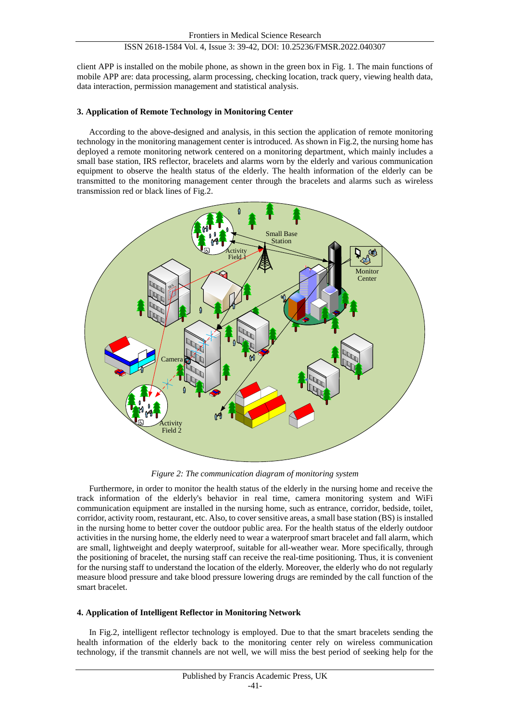# ISSN 2618-1584 Vol. 4, Issue 3: 39-42, DOI: 10.25236/FMSR.2022.040307

client APP is installed on the mobile phone, as shown in the green box in Fig. 1. The main functions of mobile APP are: data processing, alarm processing, checking location, track query, viewing health data, data interaction, permission management and statistical analysis.

#### **3. Application of Remote Technology in Monitoring Center**

According to the above-designed and analysis, in this section the application of remote monitoring technology in the monitoring management center is introduced. As shown in Fig.2, the nursing home has deployed a remote monitoring network centered on a monitoring department, which mainly includes a small base station, IRS reflector, bracelets and alarms worn by the elderly and various communication equipment to observe the health status of the elderly. The health information of the elderly can be transmitted to the monitoring management center through the bracelets and alarms such as wireless transmission red or black lines of Fig.2.



*Figure 2: The communication diagram of monitoring system*

Furthermore, in order to monitor the health status of the elderly in the nursing home and receive the track information of the elderly's behavior in real time, camera monitoring system and WiFi communication equipment are installed in the nursing home, such as entrance, corridor, bedside, toilet, corridor, activity room, restaurant, etc. Also, to cover sensitive areas, a small base station (BS) is installed in the nursing home to better cover the outdoor public area. For the health status of the elderly outdoor activities in the nursing home, the elderly need to wear a waterproof smart bracelet and fall alarm, which are small, lightweight and deeply waterproof, suitable for all-weather wear. More specifically, through the positioning of bracelet, the nursing staff can receive the real-time positioning. Thus, it is convenient for the nursing staff to understand the location of the elderly. Moreover, the elderly who do not regularly measure blood pressure and take blood pressure lowering drugs are reminded by the call function of the smart bracelet.

#### **4. Application of Intelligent Reflector in Monitoring Network**

In Fig.2, intelligent reflector technology is employed. Due to that the smart bracelets sending the health information of the elderly back to the monitoring center rely on wireless communication technology, if the transmit channels are not well, we will miss the best period of seeking help for the